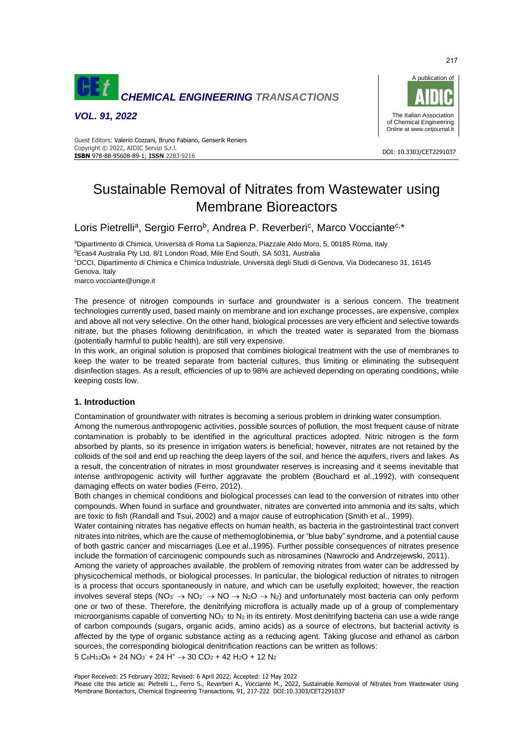

*VOL. 91, 2022*



#### DOI: 10.3303/CET2291037 **ISBN** 978-88-95608-89-1; **ISSN** 2283-9216 Guest Editors: Valerio Cozzani, Bruno Fabiano, Genserik Reniers Copyright © 2022, AIDIC Servizi S.r.l.

# Sustainable Removal of Nitrates from Wastewater using Membrane Bioreactors

Loris Pietrelli<sup>a</sup>, Sergio Ferro<sup>b</sup>, Andrea P. Reverberi<sup>c</sup>, Marco Vocciante<sup>c,\*</sup>

<sup>a</sup>Dipartimento di Chimica, Università di Roma La Sapienza, Piazzale Aldo Moro, 5, 00185 Roma, Italy <sup>b</sup>Ecas4 Australia Pty Ltd, 8/1 London Road, Mile End South, SA 5031, Australia <sup>c</sup>DCCI, Dipartimento di Chimica e Chimica Industriale, Università degli Studi di Genova, Via Dodecaneso 31, 16145 Genova, Italy marco.vocciante@unige.it

The presence of nitrogen compounds in surface and groundwater is a serious concern. The treatment technologies currently used, based mainly on membrane and ion exchange processes, are expensive, complex and above all not very selective. On the other hand, biological processes are very efficient and selective towards nitrate, but the phases following denitrification, in which the treated water is separated from the biomass (potentially harmful to public health), are still very expensive.

In this work, an original solution is proposed that combines biological treatment with the use of membranes to keep the water to be treated separate from bacterial cultures, thus limiting or eliminating the subsequent disinfection stages. As a result, efficiencies of up to 98% are achieved depending on operating conditions, while keeping costs low.

# **1. Introduction**

Contamination of groundwater with nitrates is becoming a serious problem in drinking water consumption. Among the numerous anthropogenic activities, possible sources of pollution, the most frequent cause of nitrate contamination is probably to be identified in the agricultural practices adopted. Nitric nitrogen is the form absorbed by plants, so its presence in irrigation waters is beneficial; however, nitrates are not retained by the colloids of the soil and end up reaching the deep layers of the soil, and hence the aquifers, rivers and lakes. As a result, the concentration of nitrates in most groundwater reserves is increasing and it seems inevitable that intense anthropogenic activity will further aggravate the problem (Bouchard et al.,1992), with consequent damaging effects on water bodies (Ferro, 2012).

Both changes in chemical conditions and biological processes can lead to the conversion of nitrates into other compounds. When found in surface and groundwater, nitrates are converted into ammonia and its salts, which are toxic to fish (Randall and Tsui, 2002) and a major cause of eutrophication (Smith et al., 1999).

Water containing nitrates has negative effects on human health, as bacteria in the gastrointestinal tract convert nitrates into nitrites, which are the cause of methemoglobinemia, or "blue baby" syndrome, and a potential cause of both gastric cancer and miscarriages (Lee et al.,1995). Further possible consequences of nitrates presence include the formation of carcinogenic compounds such as nitrosamines (Nawrocki and Andrzejewski, 2011).

Among the variety of approaches available, the problem of removing nitrates from water can be addressed by physicochemical methods, or biological processes. In particular, the biological reduction of nitrates to nitrogen is a process that occurs spontaneously in nature, and which can be usefully exploited; however, the reaction involves several steps (NO<sub>3</sub><sup>-</sup>  $\rightarrow$  NO<sub>2</sub><sup>-</sup>  $\rightarrow$  NO  $\rightarrow$  N<sub>2</sub>O  $\rightarrow$  N<sub>2</sub>) and unfortunately most bacteria can only perform one or two of these. Therefore, the denitrifying microflora is actually made up of a group of complementary microorganisms capable of converting NO<sub>3</sub> to N<sub>2</sub> in its entirety. Most denitrifying bacteria can use a wide range of carbon compounds (sugars, organic acids, amino acids) as a source of electrons, but bacterial activity is affected by the type of organic substance acting as a reducing agent. Taking glucose and ethanol as carbon sources, the corresponding biological denitrification reactions can be written as follows:

$$
5\;C_6H_{12}O_6 + 24\;NO_3\;+ 24\;H^+ \rightarrow 30\;CO_2 + 42\;H_2O + 12\;N_2
$$

217

Please cite this article as: Pietrelli L., Ferro S., Reverberi A., Vocciante M., 2022, Sustainable Removal of Nitrates from Wastewater Using Membrane Bioreactors, Chemical Engineering Transactions, 91, 217-222 DOI:10.3303/CET2291037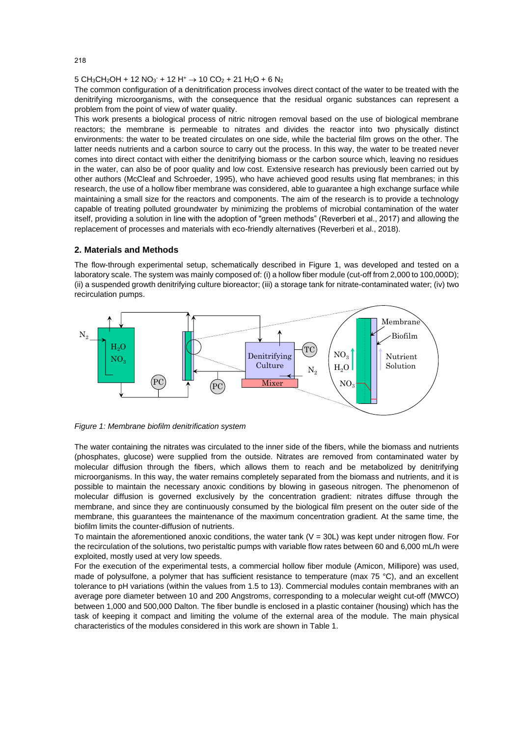#### $5 \text{ CH}_3\text{CH}_2\text{OH} + 12 \text{ NO}_3 + 12 \text{ H}^+ \rightarrow 10 \text{ CO}_2 + 21 \text{ H}_2\text{O} + 6 \text{ N}_2$

The common configuration of a denitrification process involves direct contact of the water to be treated with the denitrifying microorganisms, with the consequence that the residual organic substances can represent a problem from the point of view of water quality.

This work presents a biological process of nitric nitrogen removal based on the use of biological membrane reactors; the membrane is permeable to nitrates and divides the reactor into two physically distinct environments: the water to be treated circulates on one side, while the bacterial film grows on the other. The latter needs nutrients and a carbon source to carry out the process. In this way, the water to be treated never comes into direct contact with either the denitrifying biomass or the carbon source which, leaving no residues in the water, can also be of poor quality and low cost. Extensive research has previously been carried out by other authors (McCleaf and Schroeder, 1995), who have achieved good results using flat membranes; in this research, the use of a hollow fiber membrane was considered, able to guarantee a high exchange surface while maintaining a small size for the reactors and components. The aim of the research is to provide a technology capable of treating polluted groundwater by minimizing the problems of microbial contamination of the water itself, providing a solution in line with the adoption of "green methods" (Reverberi et al., 2017) and allowing the replacement of processes and materials with eco-friendly alternatives (Reverberi et al., 2018).

### **2. Materials and Methods**

The flow-through experimental setup, schematically described in Figure 1, was developed and tested on a laboratory scale. The system was mainly composed of: (i) a hollow fiber module (cut-off from 2,000 to 100,000D); (ii) a suspended growth denitrifying culture bioreactor; (iii) a storage tank for nitrate-contaminated water; (iv) two recirculation pumps.





The water containing the nitrates was circulated to the inner side of the fibers, while the biomass and nutrients (phosphates, glucose) were supplied from the outside. Nitrates are removed from contaminated water by molecular diffusion through the fibers, which allows them to reach and be metabolized by denitrifying microorganisms. In this way, the water remains completely separated from the biomass and nutrients, and it is possible to maintain the necessary anoxic conditions by blowing in gaseous nitrogen. The phenomenon of molecular diffusion is governed exclusively by the concentration gradient: nitrates diffuse through the membrane, and since they are continuously consumed by the biological film present on the outer side of the membrane, this guarantees the maintenance of the maximum concentration gradient. At the same time, the biofilm limits the counter-diffusion of nutrients.

To maintain the aforementioned anoxic conditions, the water tank  $(V = 30L)$  was kept under nitrogen flow. For the recirculation of the solutions, two peristaltic pumps with variable flow rates between 60 and 6,000 mL/h were exploited, mostly used at very low speeds.

For the execution of the experimental tests, a commercial hollow fiber module (Amicon, Millipore) was used, made of polysulfone, a polymer that has sufficient resistance to temperature (max  $75 \degree C$ ), and an excellent tolerance to pH variations (within the values from 1.5 to 13). Commercial modules contain membranes with an average pore diameter between 10 and 200 Angstroms, corresponding to a molecular weight cut-off (MWCO) between 1,000 and 500,000 Dalton. The fiber bundle is enclosed in a plastic container (housing) which has the task of keeping it compact and limiting the volume of the external area of the module. The main physical characteristics of the modules considered in this work are shown in Table 1.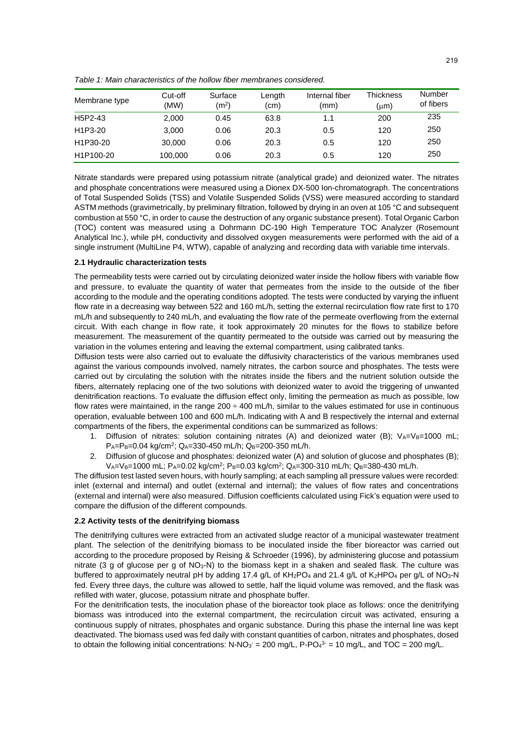*Table 1: Main characteristics of the hollow fiber membranes considered.*

| Membrane type | Cut-off<br>(MW) | Surface<br>(m <sup>2</sup> ) | Length<br>(cm) | Internal fiber<br>(mm) | Thickness<br>$(\mu m)$ | Number<br>of fibers |
|---------------|-----------------|------------------------------|----------------|------------------------|------------------------|---------------------|
| H5P2-43       | 2.000           | 0.45                         | 63.8           | 1.1                    | 200                    | 235                 |
| H1P3-20       | 3.000           | 0.06                         | 20.3           | 0.5                    | 120                    | 250                 |
| H1P30-20      | 30,000          | 0.06                         | 20.3           | 0.5                    | 120                    | 250                 |
| H1P100-20     | 100,000         | 0.06                         | 20.3           | 0.5                    | 120                    | 250                 |

Nitrate standards were prepared using potassium nitrate (analytical grade) and deionized water. The nitrates and phosphate concentrations were measured using a Dionex DX-500 Ion-chromatograph. The concentrations of Total Suspended Solids (TSS) and Volatile Suspended Solids (VSS) were measured according to standard ASTM methods (gravimetrically, by preliminary filtration, followed by drying in an oven at 105 °C and subsequent combustion at 550 °C, in order to cause the destruction of any organic substance present). Total Organic Carbon (TOC) content was measured using a Dohrmann DC-190 High Temperature TOC Analyzer (Rosemount Analytical Inc.), while pH, conductivity and dissolved oxygen measurements were performed with the aid of a single instrument (MultiLine P4, WTW), capable of analyzing and recording data with variable time intervals.

# **2.1 Hydraulic characterization tests**

The permeability tests were carried out by circulating deionized water inside the hollow fibers with variable flow and pressure, to evaluate the quantity of water that permeates from the inside to the outside of the fiber according to the module and the operating conditions adopted. The tests were conducted by varying the influent flow rate in a decreasing way between 522 and 160 mL/h, setting the external recirculation flow rate first to 170 mL/h and subsequently to 240 mL/h, and evaluating the flow rate of the permeate overflowing from the external circuit. With each change in flow rate, it took approximately 20 minutes for the flows to stabilize before measurement. The measurement of the quantity permeated to the outside was carried out by measuring the variation in the volumes entering and leaving the external compartment, using calibrated tanks.

Diffusion tests were also carried out to evaluate the diffusivity characteristics of the various membranes used against the various compounds involved, namely nitrates, the carbon source and phosphates. The tests were carried out by circulating the solution with the nitrates inside the fibers and the nutrient solution outside the fibers, alternately replacing one of the two solutions with deionized water to avoid the triggering of unwanted denitrification reactions. To evaluate the diffusion effect only, limiting the permeation as much as possible, low flow rates were maintained, in the range  $200 \div 400$  mL/h, similar to the values estimated for use in continuous operation, evaluable between 100 and 600 mL/h. Indicating with A and B respectively the internal and external compartments of the fibers, the experimental conditions can be summarized as follows:

- 1. Diffusion of nitrates: solution containing nitrates (A) and deionized water (B);  $V_{A}=V_{B}=1000$  mL; P<sub>A</sub>=P<sub>B</sub>=0.04 kg/cm<sup>2</sup>; Q<sub>A</sub>=330-450 mL/h; Q<sub>B</sub>=200-350 mL/h.
- 2. Diffusion of glucose and phosphates: deionized water (A) and solution of glucose and phosphates (B); VA=VB=1000 mL; PA=0.02 kg/cm<sup>2</sup>; PB=0.03 kg/cm<sup>2</sup>; QA=300-310 mL/h; QB=380-430 mL/h.

The diffusion test lasted seven hours, with hourly sampling; at each sampling all pressure values were recorded: inlet (external and internal) and outlet (external and internal); the values of flow rates and concentrations (external and internal) were also measured. Diffusion coefficients calculated using Fick's equation were used to compare the diffusion of the different compounds.

# **2.2 Activity tests of the denitrifying biomass**

The denitrifying cultures were extracted from an activated sludge reactor of a municipal wastewater treatment plant. The selection of the denitrifying biomass to be inoculated inside the fiber bioreactor was carried out according to the procedure proposed by Reising & Schroeder (1996), by administering glucose and potassium nitrate (3 g of glucose per g of NO3-N) to the biomass kept in a shaken and sealed flask. The culture was buffered to approximately neutral pH by adding 17.4 g/L of KH<sub>2</sub>PO<sub>4</sub> and 21.4 g/L of K<sub>2</sub>HPO<sub>4</sub> per g/L of NO<sub>3</sub>-N fed. Every three days, the culture was allowed to settle, half the liquid volume was removed, and the flask was refilled with water, glucose, potassium nitrate and phosphate buffer.

For the denitrification tests, the inoculation phase of the bioreactor took place as follows: once the denitrifying biomass was introduced into the external compartment, the recirculation circuit was activated, ensuring a continuous supply of nitrates, phosphates and organic substance. During this phase the internal line was kept deactivated. The biomass used was fed daily with constant quantities of carbon, nitrates and phosphates, dosed to obtain the following initial concentrations: N-NO<sub>3</sub> = 200 mg/L, P-PO<sub>4</sub>3 = 10 mg/L, and TOC = 200 mg/L.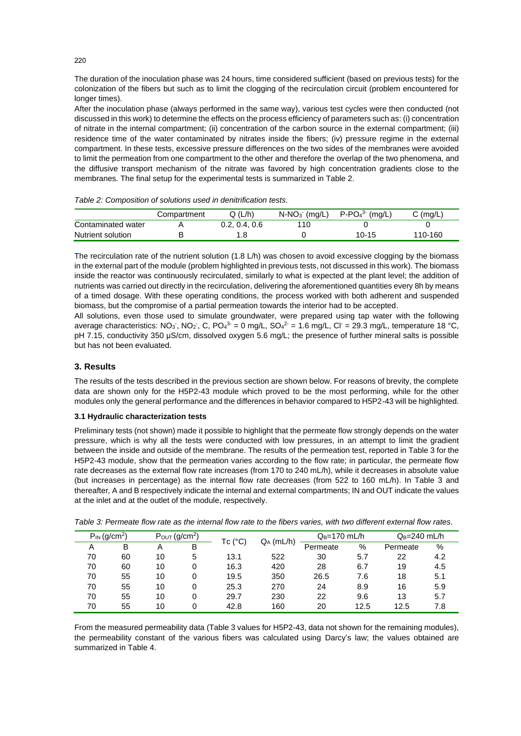The duration of the inoculation phase was 24 hours, time considered sufficient (based on previous tests) for the colonization of the fibers but such as to limit the clogging of the recirculation circuit (problem encountered for longer times).

After the inoculation phase (always performed in the same way), various test cycles were then conducted (not discussed in this work) to determine the effects on the process efficiency of parameters such as: (i) concentration of nitrate in the internal compartment; (ii) concentration of the carbon source in the external compartment; (iii) residence time of the water contaminated by nitrates inside the fibers; (iv) pressure regime in the external compartment. In these tests, excessive pressure differences on the two sides of the membranes were avoided to limit the permeation from one compartment to the other and therefore the overlap of the two phenomena, and the diffusive transport mechanism of the nitrate was favored by high concentration gradients close to the membranes. The final setup for the experimental tests is summarized in Table 2.

|                    | Compartment | Q(L/h)        | $N-NO3$ (mg/L) | $P-PO43 (mq/L)$ | $C \text{ (mq/L)}$ |
|--------------------|-------------|---------------|----------------|-----------------|--------------------|
| Contaminated water |             | 0.2, 0.4, 0.6 | 110            |                 |                    |
| Nutrient solution  |             |               |                | $10 - 15$       | 110-160            |

The recirculation rate of the nutrient solution (1.8 L/h) was chosen to avoid excessive clogging by the biomass in the external part of the module (problem highlighted in previous tests, not discussed in this work). The biomass inside the reactor was continuously recirculated, similarly to what is expected at the plant level; the addition of nutrients was carried out directly in the recirculation, delivering the aforementioned quantities every 8h by means of a timed dosage. With these operating conditions, the process worked with both adherent and suspended biomass, but the compromise of a partial permeation towards the interior had to be accepted.

All solutions, even those used to simulate groundwater, were prepared using tap water with the following average characteristics: NO<sub>3</sub>, NO<sub>2</sub>, C, PO<sub>4</sub><sup>3</sup> = 0 mg/L, SO<sub>4</sub><sup>2</sup> = 1.6 mg/L, Cl<sup>-</sup> = 29.3 mg/L, temperature 18 °C, pH 7.15, conductivity 350 μS/cm, dissolved oxygen 5.6 mg/L; the presence of further mineral salts is possible but has not been evaluated.

# **3. Results**

The results of the tests described in the previous section are shown below. For reasons of brevity, the complete data are shown only for the H5P2-43 module which proved to be the most performing, while for the other modules only the general performance and the differences in behavior compared to H5P2-43 will be highlighted.

### **3.1 Hydraulic characterization tests**

Preliminary tests (not shown) made it possible to highlight that the permeate flow strongly depends on the water pressure, which is why all the tests were conducted with low pressures, in an attempt to limit the gradient between the inside and outside of the membrane. The results of the permeation test, reported in Table 3 for the H5P2-43 module, show that the permeation varies according to the flow rate; in particular, the permeate flow rate decreases as the external flow rate increases (from 170 to 240 mL/h), while it decreases in absolute value (but increases in percentage) as the internal flow rate decreases (from 522 to 160 mL/h). In Table 3 and thereafter*,* A and B respectively indicate the internal and external compartments; IN and OUT indicate the values at the inlet and at the outlet of the module, respectively.

| $P_{IN}$ (g/cm <sup>2</sup> ) |    | $P_{OUT}$ (g/cm <sup>2</sup> ) |   | Tc (°C) |              | $Q_B=170$ mL/h |      | $Q_B = 240$ mL/h |     |
|-------------------------------|----|--------------------------------|---|---------|--------------|----------------|------|------------------|-----|
| A                             | в  | Α                              | B |         | $Q_A$ (mL/h) | Permeate       | %    | Permeate         | %   |
| 70                            | 60 | 10                             | 5 | 13.1    | 522          | 30             | 5.7  | 22               | 4.2 |
| 70                            | 60 | 10                             | 0 | 16.3    | 420          | 28             | 6.7  | 19               | 4.5 |
| 70                            | 55 | 10                             | 0 | 19.5    | 350          | 26.5           | 7.6  | 18               | 5.1 |
| 70                            | 55 | 10                             | 0 | 25.3    | 270          | 24             | 8.9  | 16               | 5.9 |
| 70                            | 55 | 10                             | 0 | 29.7    | 230          | 22             | 9.6  | 13               | 5.7 |
| 70                            | 55 | 10                             | 0 | 42.8    | 160          | 20             | 12.5 | 12.5             | 7.8 |

*Table 3: Permeate flow rate as the internal flow rate to the fibers varies, with two different external flow rates.*

From the measured permeability data (Table 3 values for H5P2-43, data not shown for the remaining modules), the permeability constant of the various fibers was calculated using Darcy's law; the values obtained are summarized in Table 4.

220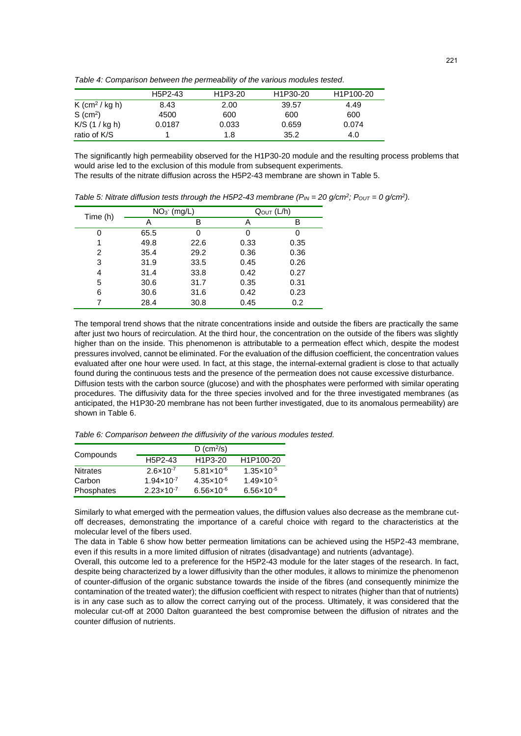*Table 4: Comparison between the permeability of the various modules tested.*

|                            | H <sub>5</sub> P <sub>2</sub> -43 | H <sub>1</sub> P <sub>3</sub> -20 | H <sub>1</sub> P <sub>30</sub> -20 | H1P100-20 |
|----------------------------|-----------------------------------|-----------------------------------|------------------------------------|-----------|
| K (cm <sup>2</sup> / kg h) | 8.43                              | 2.00                              | 39.57                              | 4.49      |
| $S$ (cm <sup>2</sup> )     | 4500                              | 600                               | 600                                | 600       |
| $K/S$ (1 / kg h)           | 0.0187                            | 0.033                             | 0.659                              | 0.074     |
| ratio of K/S               |                                   | 1.8                               | 35.2                               | 4.0       |

The significantly high permeability observed for the H1P30-20 module and the resulting process problems that would arise led to the exclusion of this module from subsequent experiments.

The results of the nitrate diffusion across the H5P2-43 membrane are shown in Table 5.

| Time (h) |      | $NO3$ (mg/L) |      | QOUT (L/h) |
|----------|------|--------------|------|------------|
|          | Α    | в            | Α    | в          |
| O        | 65.5 | 0            | 0    | 0          |
|          | 49.8 | 22.6         | 0.33 | 0.35       |
| 2        | 35.4 | 29.2         | 0.36 | 0.36       |
| 3        | 31.9 | 33.5         | 0.45 | 0.26       |
| 4        | 31.4 | 33.8         | 0.42 | 0.27       |
| 5        | 30.6 | 31.7         | 0.35 | 0.31       |
| 6        | 30.6 | 31.6         | 0.42 | 0.23       |
|          | 28.4 | 30.8         | 0.45 | 0.2        |

*Table 5: Nitrate diffusion tests through the H5P2-43 membrane*  $(P_{IN} = 20 \text{ g/cm}^2$ *;*  $P_{OUT} = 0 \text{ g/cm}^2$ *).* 

The temporal trend shows that the nitrate concentrations inside and outside the fibers are practically the same after just two hours of recirculation. At the third hour, the concentration on the outside of the fibers was slightly higher than on the inside. This phenomenon is attributable to a permeation effect which, despite the modest pressures involved, cannot be eliminated. For the evaluation of the diffusion coefficient, the concentration values evaluated after one hour were used. In fact, at this stage, the internal-external gradient is close to that actually found during the continuous tests and the presence of the permeation does not cause excessive disturbance. Diffusion tests with the carbon source (glucose) and with the phosphates were performed with similar operating procedures. The diffusivity data for the three species involved and for the three investigated membranes (as anticipated, the H1P30-20 membrane has not been further investigated, due to its anomalous permeability) are shown in Table 6.

*Table 6: Comparison between the diffusivity of the various modules tested.*

|                 |                                   | $D$ (cm <sup>2</sup> /s)          |                       |
|-----------------|-----------------------------------|-----------------------------------|-----------------------|
| Compounds       | H <sub>5</sub> P <sub>2</sub> -43 | H <sub>1</sub> P <sub>3</sub> -20 | H1P100-20             |
| <b>Nitrates</b> | $2.6 \times 10^{-7}$              | $5.81 \times 10^{-6}$             | $1.35 \times 10^{-5}$ |
| Carbon          | $1.94 \times 10^{-7}$             | $4.35 \times 10^{-6}$             | $1.49 \times 10^{-5}$ |
| Phosphates      | $2.23 \times 10^{-7}$             | $6.56 \times 10^{-6}$             | $6.56 \times 10^{-6}$ |

Similarly to what emerged with the permeation values, the diffusion values also decrease as the membrane cutoff decreases, demonstrating the importance of a careful choice with regard to the characteristics at the molecular level of the fibers used.

The data in Table 6 show how better permeation limitations can be achieved using the H5P2-43 membrane, even if this results in a more limited diffusion of nitrates (disadvantage) and nutrients (advantage).

Overall, this outcome led to a preference for the H5P2-43 module for the later stages of the research. In fact, despite being characterized by a lower diffusivity than the other modules, it allows to minimize the phenomenon of counter-diffusion of the organic substance towards the inside of the fibres (and consequently minimize the contamination of the treated water); the diffusion coefficient with respect to nitrates (higher than that of nutrients) is in any case such as to allow the correct carrying out of the process. Ultimately, it was considered that the molecular cut-off at 2000 Dalton guaranteed the best compromise between the diffusion of nitrates and the counter diffusion of nutrients.